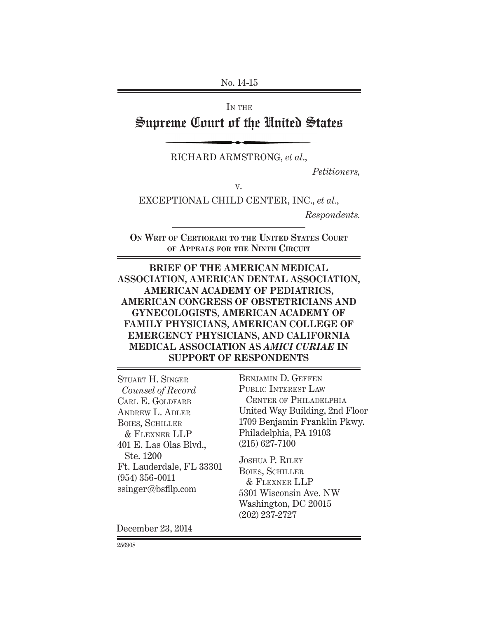No. 14-15

IN THE

# Supreme Court of the United States

RICHARD ARMSTRONG, *et al*.,

 *Petitioners,*

V.

EXCEPTIONAL CHILD CENTER, INC., *et al.*,

 *Respondents.*

**ON WRIT OF CERTIORARI TO THE UNITED STATES COURT OF APPEALS FOR THE NINTH CIRCUIT**

**BRIEF OF THE AMERICAN MEDICAL ASSOCIATION, AMERICAN DENTAL ASSOCIATION, AMERICAN ACADEMY OF PEDIATRICS, AMERICAN CONGRESS OF OBSTETRICIANS AND GYNECOLOGISTS, AMERICAN ACADEMY OF FAMILY PHYSICIANS, AMERICAN COLLEGE OF EMERGENCY PHYSICIANS, AND CALIFORNIA MEDICAL ASSOCIATION AS** *AMICI CURIAE* **IN SUPPORT OF RESPONDENTS**

STUART H. SINGER  *Counsel of Record* CARL E. GOLDFARB ANDREW L. ADLER BOIES, SCHILLER & FLEXNER LLP 401 E. Las Olas Blvd., Ste. 1200 Ft. Lauderdale, FL 33301 (954) 356-0011 ssinger@bsfllp.com

BENJAMIN D. GEFFEN PUBLIC INTEREST LAW CENTER OF PHILADELPHIA United Way Building, 2nd Floor 1709 Benjamin Franklin Pkwy. Philadelphia, PA 19103 (215) 627-7100

JOSHUA P. RILEY BOIES, SCHILLER & FLEXNER LLP 5301 Wisconsin Ave. NW Washington, DC 20015 (202) 237-2727

December 23, 2014

256908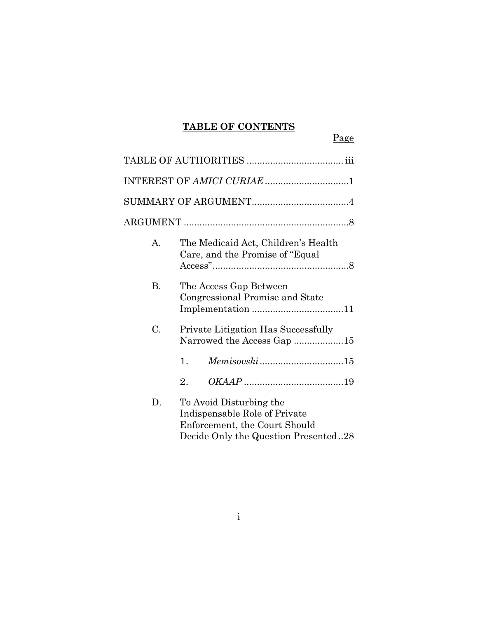# **TABLE OF CONTENTS**

Page

|           | INTEREST OF AMICI CURIAE 1                                                                                                        |
|-----------|-----------------------------------------------------------------------------------------------------------------------------------|
|           |                                                                                                                                   |
|           |                                                                                                                                   |
| А.        | The Medicaid Act, Children's Health<br>Care, and the Promise of "Equal"                                                           |
| <b>B.</b> | The Access Gap Between<br>Congressional Promise and State                                                                         |
| C.        | <b>Private Litigation Has Successfully</b><br>Narrowed the Access Gap 15                                                          |
|           | $\mathbf{1}$ .                                                                                                                    |
|           | 2.                                                                                                                                |
| D.        | To Avoid Disturbing the<br>Indispensable Role of Private<br>Enforcement, the Court Should<br>Decide Only the Question Presented28 |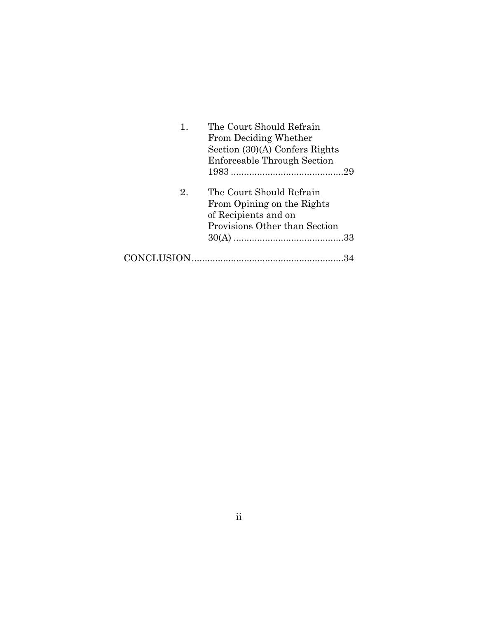| 1. | The Court Should Refrain       |
|----|--------------------------------|
|    | From Deciding Whether          |
|    | Section (30)(A) Confers Rights |
|    | Enforceable Through Section    |
|    |                                |
| 2. | The Court Should Refrain       |
|    | From Opining on the Rights     |
|    | of Recipients and on           |
|    | Provisions Other than Section  |
|    |                                |
|    |                                |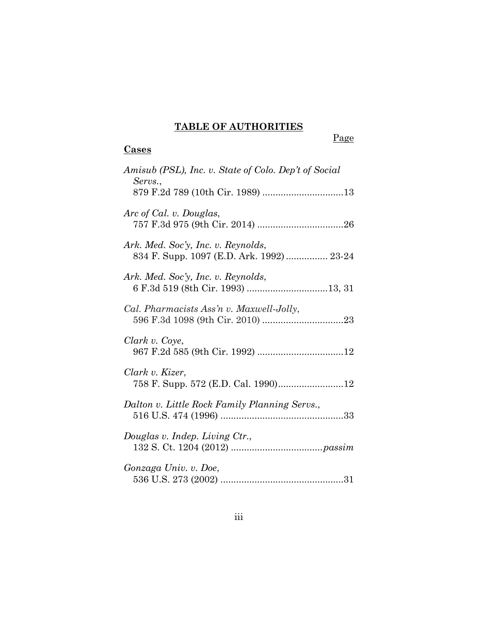# **TABLE OF AUTHORITIES**

Page

## **Cases**

| Amisub (PSL), Inc. v. State of Colo. Dep't of Social<br>Servs.,                 |
|---------------------------------------------------------------------------------|
|                                                                                 |
| Arc of Cal. v. Douglas,                                                         |
| Ark. Med. Soc'y, Inc. v. Reynolds,<br>834 F. Supp. 1097 (E.D. Ark. 1992)  23-24 |
| Ark. Med. Soc'y, Inc. v. Reynolds,                                              |
| Cal. Pharmacists Ass'n v. Maxwell-Jolly,                                        |
| Clark v. Coye,                                                                  |
| Clark v. Kizer,                                                                 |
| Dalton v. Little Rock Family Planning Servs.,                                   |
| Douglas v. Indep. Living Ctr.,                                                  |
| Gonzaga Univ. v. Doe,                                                           |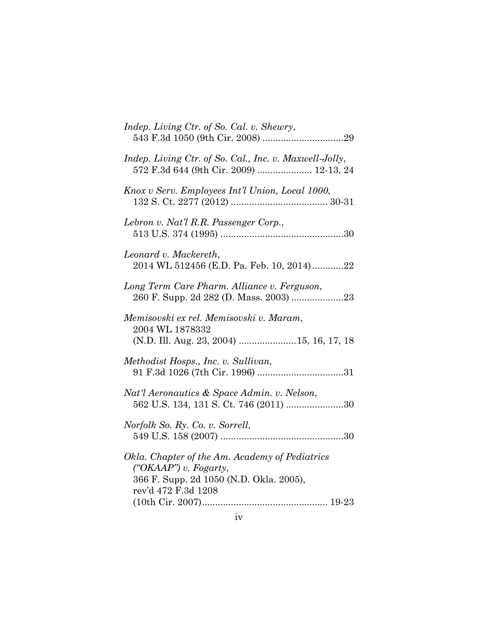| Indep. Living Ctr. of So. Cal. v. Shewry,                                                                                                 |
|-------------------------------------------------------------------------------------------------------------------------------------------|
| Indep. Living Ctr. of So. Cal., Inc. v. Maxwell-Jolly,<br>572 F.3d 644 (9th Cir. 2009)  12-13, 24                                         |
| Knox v Serv. Employees Int'l Union, Local 1000,                                                                                           |
| Lebron v. Nat'l R.R. Passenger Corp.,                                                                                                     |
| Leonard v. Mackereth,<br>2014 WL 512456 (E.D. Pa. Feb. 10, 2014)22                                                                        |
| Long Term Care Pharm. Alliance v. Ferguson,                                                                                               |
| Memisovski ex rel. Memisovski v. Maram,<br>2004 WL 1878332<br>(N.D. Ill. Aug. 23, 2004) 15, 16, 17, 18                                    |
| Methodist Hosps., Inc. v. Sullivan,                                                                                                       |
| Nat'l Aeronautics & Space Admin. v. Nelson,<br>562 U.S. 134, 131 S. Ct. 746 (2011) 30                                                     |
| Norfolk So. Ry. Co. v. Sorrell,                                                                                                           |
| Okla. Chapter of the Am. Academy of Pediatrics<br>("OKAAP") v. Fogarty,<br>366 F. Supp. 2d 1050 (N.D. Okla. 2005),<br>rev'd 472 F.3d 1208 |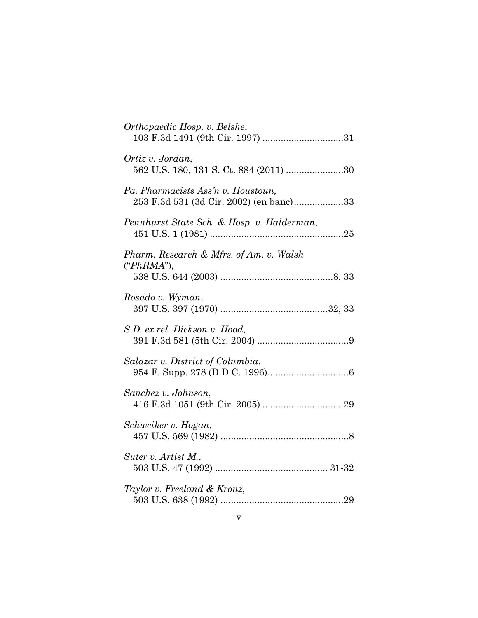| Orthopaedic Hosp. v. Belshe,                                                  |
|-------------------------------------------------------------------------------|
| Ortiz v. Jordan,<br>562 U.S. 180, 131 S. Ct. 884 (2011) 30                    |
| Pa. Pharmacists Ass'n v. Houstoun,<br>253 F.3d 531 (3d Cir. 2002) (en banc)33 |
| Pennhurst State Sch. & Hosp. v. Halderman,                                    |
| Pharm. Research & Mfrs. of Am. v. Walsh<br>("PhRMA"),                         |
| Rosado v. Wyman,                                                              |
| S.D. ex rel. Dickson v. Hood,                                                 |
| Salazar v. District of Columbia,                                              |
| Sanchez v. Johnson,                                                           |
| Schweiker v. Hogan,                                                           |
| Suter v. Artist M.,                                                           |
| Taylor v. Freeland & Kronz,                                                   |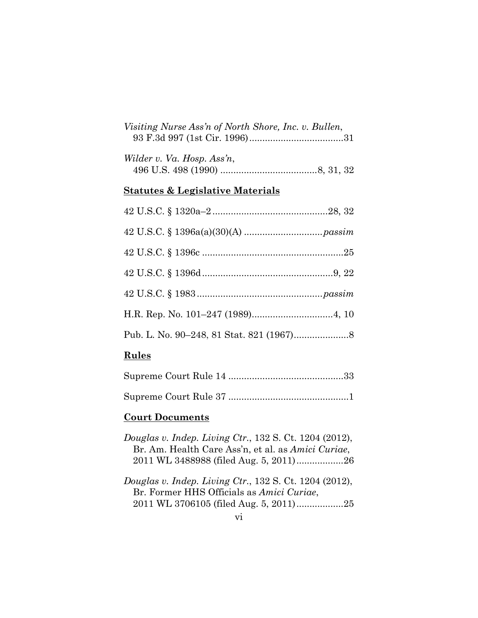| Visiting Nurse Ass'n of North Shore, Inc. v. Bullen, |  |
|------------------------------------------------------|--|
|                                                      |  |

| Wilder v. Va. Hosp. Ass'n, |  |
|----------------------------|--|
|                            |  |

## **Statutes & Legislative Materials**

## **Rules**

## **Court Documents**

- *Douglas v. Indep. Living Ctr.*, 132 S. Ct. 1204 (2012), Br. Am. Health Care Ass'n, et al. as *Amici Curiae*, 2011 WL 3488988 (filed Aug. 5, 2011) .................. 26
- *Douglas v. Indep. Living Ctr.*, 132 S. Ct. 1204 (2012), Br. Former HHS Officials as *Amici Curiae*, 2011 WL 3706105 (filed Aug. 5, 2011) .................. 25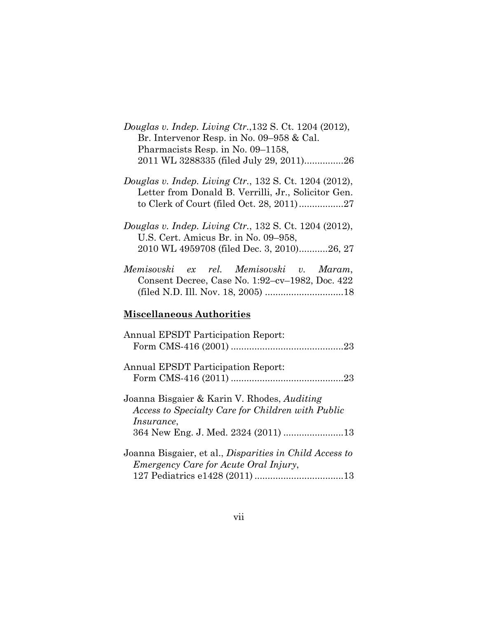| Douglas v. Indep. Living $Ctr.$ , 132 S. Ct. 1204 (2012), |
|-----------------------------------------------------------|
| Br. Intervenor Resp. in No. 09–958 & Cal.                 |
| Pharmacists Resp. in No. 09–1158,                         |
| 2011 WL 3288335 (filed July 29, 2011)26                   |

*Douglas v. Indep. Living Ctr.*, 132 S. Ct. 1204 (2012), Letter from Donald B. Verrilli, Jr., Solicitor Gen. to Clerk of Court (filed Oct. 28, 2011) ................. 27

| Memisovski ex rel. Memisovski v. Maram,         |  |  |  |  |
|-------------------------------------------------|--|--|--|--|
| Consent Decree, Case No. 1:92-cv-1982, Doc. 422 |  |  |  |  |
|                                                 |  |  |  |  |

## **Miscellaneous Authorities**

| <b>Annual EPSDT Participation Report:</b>                                                               |
|---------------------------------------------------------------------------------------------------------|
|                                                                                                         |
|                                                                                                         |
| <b>Annual EPSDT Participation Report:</b>                                                               |
|                                                                                                         |
| Joanna Bisgaier & Karin V. Rhodes, <i>Auditing</i><br>Access to Specialty Care for Children with Public |
| <i>Insurance</i> ,                                                                                      |
|                                                                                                         |
| Joanna Bisgaier, et al., Disparities in Child Access to                                                 |
| <i>Emergency Care for Acute Oral Injury,</i>                                                            |
|                                                                                                         |

*Douglas v. Indep. Living Ctr.*, 132 S. Ct. 1204 (2012), U.S. Cert. Amicus Br. in No. 09–958, 2010 WL 4959708 (filed Dec. 3, 2010) ........... 26, 27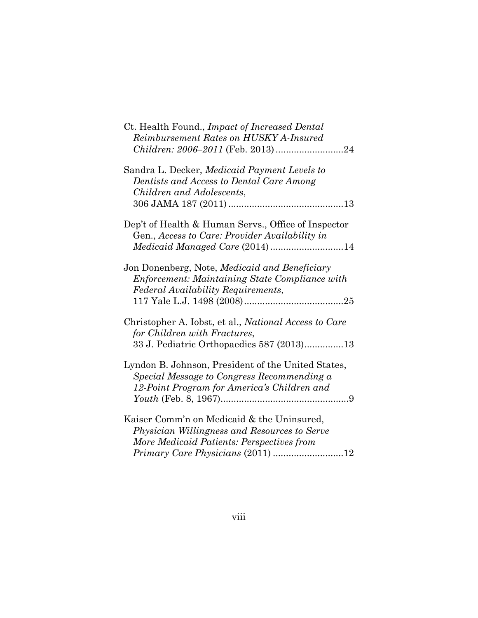| Ct. Health Found., Impact of Increased Dental<br>Reimbursement Rates on HUSKY A-Insured                                                                                      |
|------------------------------------------------------------------------------------------------------------------------------------------------------------------------------|
| Sandra L. Decker, Medicaid Payment Levels to<br>Dentists and Access to Dental Care Among<br>Children and Adolescents,                                                        |
| Dep't of Health & Human Servs., Office of Inspector<br>Gen., Access to Care: Provider Availability in                                                                        |
| Jon Donenberg, Note, Medicaid and Beneficiary<br><b>Enforcement: Maintaining State Compliance with</b><br>Federal Availability Requirements,                                 |
| Christopher A. Iobst, et al., National Access to Care<br>for Children with Fractures,<br>33 J. Pediatric Orthopaedics 587 (2013)13                                           |
| Lyndon B. Johnson, President of the United States,<br>Special Message to Congress Recommending a<br>12-Point Program for America's Children and                              |
| Kaiser Comm'n on Medicaid & the Uninsured,<br>Physician Willingness and Resources to Serve<br>More Medicaid Patients: Perspectives from<br>Primary Care Physicians (2011) 12 |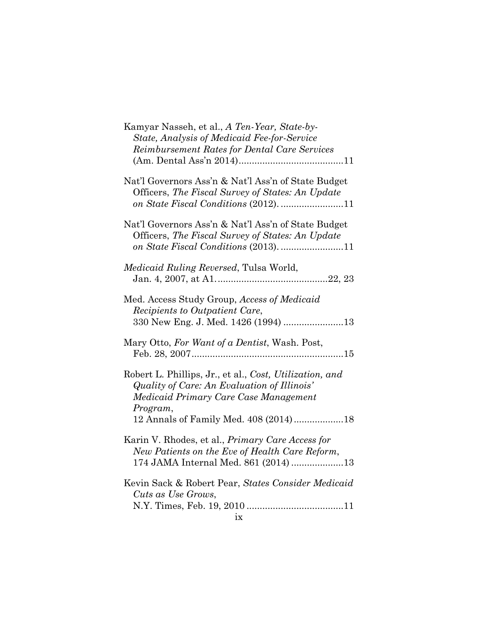| Kamyar Nasseh, et al., A Ten-Year, State-by-                                                                                                                                                         |
|------------------------------------------------------------------------------------------------------------------------------------------------------------------------------------------------------|
| State, Analysis of Medicaid Fee-for-Service                                                                                                                                                          |
| Reimbursement Rates for Dental Care Services                                                                                                                                                         |
|                                                                                                                                                                                                      |
| Nat'l Governors Ass'n & Nat'l Ass'n of State Budget<br>Officers, The Fiscal Survey of States: An Update                                                                                              |
| Nat'l Governors Ass'n & Nat'l Ass'n of State Budget<br>Officers, The Fiscal Survey of States: An Update                                                                                              |
| <i>Medicaid Ruling Reversed, Tulsa World,</i>                                                                                                                                                        |
| Med. Access Study Group, Access of Medicaid<br><i>Recipients to Outpatient Care,</i><br>330 New Eng. J. Med. 1426 (1994) 13                                                                          |
| Mary Otto, For Want of a Dentist, Wash. Post,                                                                                                                                                        |
| Robert L. Phillips, Jr., et al., Cost, Utilization, and<br>Quality of Care: An Evaluation of Illinois'<br>Medicaid Primary Care Case Management<br>Program,<br>12 Annals of Family Med. 408 (2014)18 |
| Karin V. Rhodes, et al., <i>Primary Care Access for</i><br>New Patients on the Eve of Health Care Reform,<br>174 JAMA Internal Med. 861 (2014) 13                                                    |
| Kevin Sack & Robert Pear, States Consider Medicaid<br>Cuts as Use Grows,                                                                                                                             |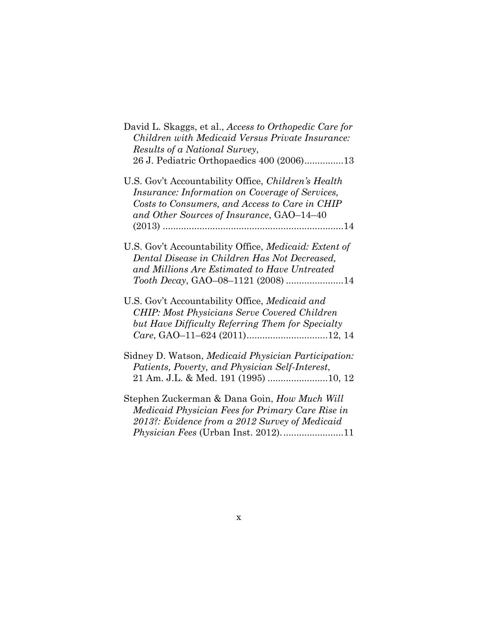| David L. Skaggs, et al., Access to Orthopedic Care for<br>Children with Medicaid Versus Private Insurance:<br>Results of a National Survey,<br>26 J. Pediatric Orthopaedics 400 (2006)13              |
|-------------------------------------------------------------------------------------------------------------------------------------------------------------------------------------------------------|
| U.S. Gov't Accountability Office, Children's Health<br>Insurance: Information on Coverage of Services,<br>Costs to Consumers, and Access to Care in CHIP<br>and Other Sources of Insurance, GAO-14-40 |
| U.S. Gov't Accountability Office, Medicaid: Extent of<br>Dental Disease in Children Has Not Decreased,<br>and Millions Are Estimated to Have Untreated<br>Tooth Decay, GAO-08-1121 (2008) 14          |
| U.S. Gov't Accountability Office, Medicaid and<br><b>CHIP: Most Physicians Serve Covered Children</b><br>but Have Difficulty Referring Them for Specialty                                             |
| Sidney D. Watson, Medicaid Physician Participation:<br>Patients, Poverty, and Physician Self-Interest,<br>21 Am. J.L. & Med. 191 (1995) 10, 12                                                        |
| Stephen Zuckerman & Dana Goin, How Much Will<br>Medicaid Physician Fees for Primary Care Rise in<br>2013?: Evidence from a 2012 Survey of Medicaid<br>Physician Fees (Urban Inst. 2012)11             |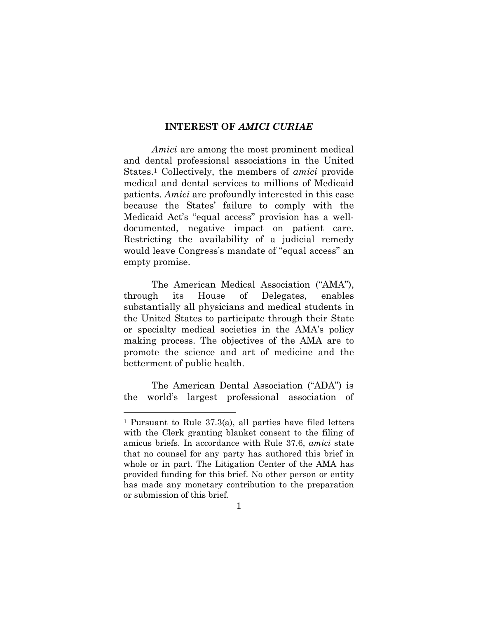#### **INTEREST OF** *AMICI CURIAE*

*Amici* are among the most prominent medical and dental professional associations in the United States.1 Collectively, the members of *amici* provide medical and dental services to millions of Medicaid patients. *Amici* are profoundly interested in this case because the States' failure to comply with the Medicaid Act's "equal access" provision has a welldocumented, negative impact on patient care. Restricting the availability of a judicial remedy would leave Congress's mandate of "equal access" an empty promise.

The American Medical Association ("AMA"), through its House of Delegates, enables substantially all physicians and medical students in the United States to participate through their State or specialty medical societies in the AMA's policy making process. The objectives of the AMA are to promote the science and art of medicine and the betterment of public health.

The American Dental Association ("ADA") is the world's largest professional association of

<sup>1</sup> Pursuant to Rule 37.3(a), all parties have filed letters with the Clerk granting blanket consent to the filing of amicus briefs. In accordance with Rule 37.6, *amici* state that no counsel for any party has authored this brief in whole or in part. The Litigation Center of the AMA has provided funding for this brief. No other person or entity has made any monetary contribution to the preparation or submission of this brief.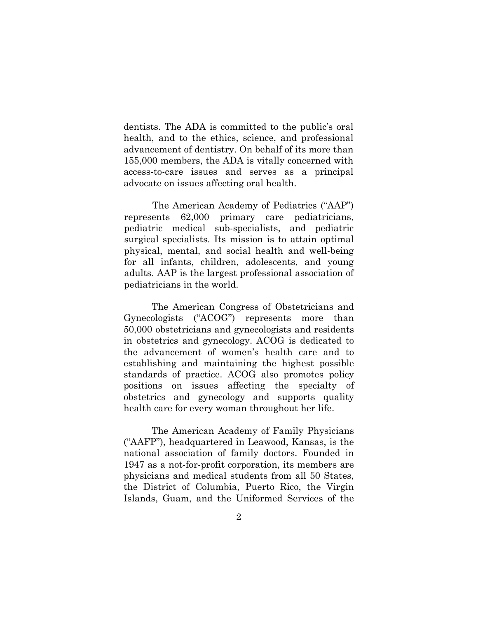dentists. The ADA is committed to the public's oral health, and to the ethics, science, and professional advancement of dentistry. On behalf of its more than 155,000 members, the ADA is vitally concerned with access-to-care issues and serves as a principal advocate on issues affecting oral health.

The American Academy of Pediatrics ("AAP") represents 62,000 primary care pediatricians, pediatric medical sub-specialists, and pediatric surgical specialists. Its mission is to attain optimal physical, mental, and social health and well-being for all infants, children, adolescents, and young adults. AAP is the largest professional association of pediatricians in the world.

The American Congress of Obstetricians and Gynecologists ("ACOG") represents more than 50,000 obstetricians and gynecologists and residents in obstetrics and gynecology. ACOG is dedicated to the advancement of women's health care and to establishing and maintaining the highest possible standards of practice. ACOG also promotes policy positions on issues affecting the specialty of obstetrics and gynecology and supports quality health care for every woman throughout her life.

The American Academy of Family Physicians ("AAFP"), headquartered in Leawood, Kansas, is the national association of family doctors. Founded in 1947 as a not-for-profit corporation, its members are physicians and medical students from all 50 States, the District of Columbia, Puerto Rico, the Virgin Islands, Guam, and the Uniformed Services of the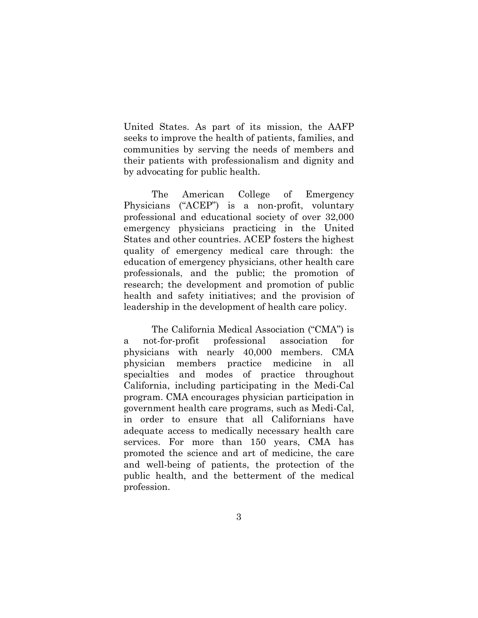United States. As part of its mission, the AAFP seeks to improve the health of patients, families, and communities by serving the needs of members and their patients with professionalism and dignity and by advocating for public health.

The American College of Emergency Physicians ("ACEP") is a non-profit, voluntary professional and educational society of over 32,000 emergency physicians practicing in the United States and other countries. ACEP fosters the highest quality of emergency medical care through: the education of emergency physicians, other health care professionals, and the public; the promotion of research; the development and promotion of public health and safety initiatives; and the provision of leadership in the development of health care policy.

The California Medical Association ("CMA") is a not-for-profit professional association for physicians with nearly 40,000 members. CMA physician members practice medicine in all specialties and modes of practice throughout California, including participating in the Medi-Cal program. CMA encourages physician participation in government health care programs, such as Medi-Cal, in order to ensure that all Californians have adequate access to medically necessary health care services. For more than 150 years, CMA has promoted the science and art of medicine, the care and well-being of patients, the protection of the public health, and the betterment of the medical profession.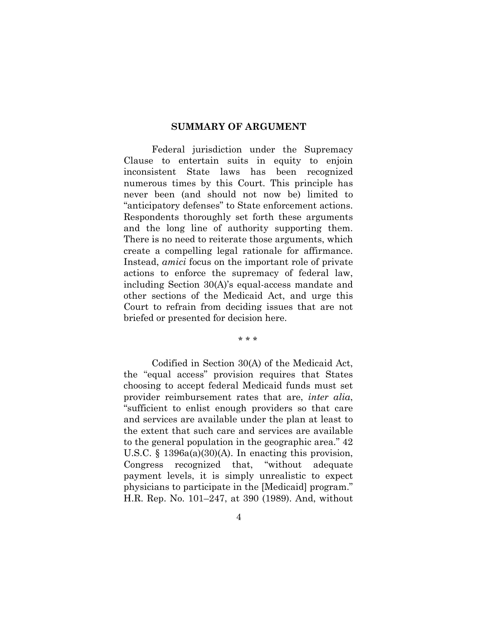#### **SUMMARY OF ARGUMENT**

Federal jurisdiction under the Supremacy Clause to entertain suits in equity to enjoin inconsistent State laws has been recognized numerous times by this Court. This principle has never been (and should not now be) limited to "anticipatory defenses" to State enforcement actions. Respondents thoroughly set forth these arguments and the long line of authority supporting them. There is no need to reiterate those arguments, which create a compelling legal rationale for affirmance. Instead, *amici* focus on the important role of private actions to enforce the supremacy of federal law, including Section 30(A)'s equal-access mandate and other sections of the Medicaid Act, and urge this Court to refrain from deciding issues that are not briefed or presented for decision here.

\* \* \*

Codified in Section 30(A) of the Medicaid Act, the "equal access" provision requires that States choosing to accept federal Medicaid funds must set provider reimbursement rates that are, *inter alia*, "sufficient to enlist enough providers so that care and services are available under the plan at least to the extent that such care and services are available to the general population in the geographic area." 42 U.S.C. § 1396a(a)(30)(A). In enacting this provision, Congress recognized that, "without adequate payment levels, it is simply unrealistic to expect physicians to participate in the [Medicaid] program." H.R. Rep. No. 101–247, at 390 (1989). And, without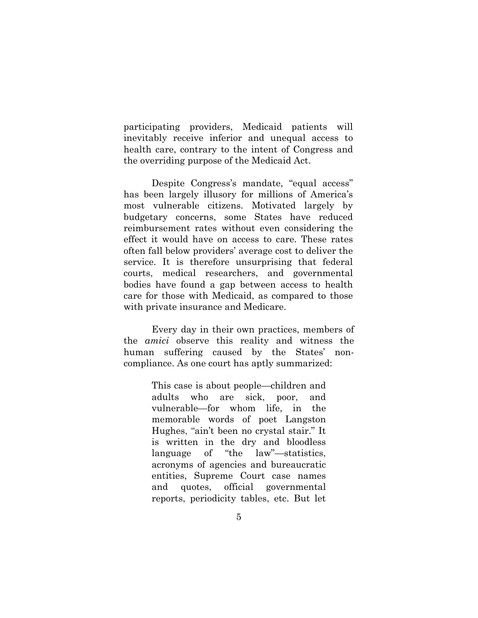participating providers, Medicaid patients will inevitably receive inferior and unequal access to health care, contrary to the intent of Congress and the overriding purpose of the Medicaid Act.

Despite Congress's mandate, "equal access" has been largely illusory for millions of America's most vulnerable citizens. Motivated largely by budgetary concerns, some States have reduced reimbursement rates without even considering the effect it would have on access to care. These rates often fall below providers' average cost to deliver the service. It is therefore unsurprising that federal courts, medical researchers, and governmental bodies have found a gap between access to health care for those with Medicaid, as compared to those with private insurance and Medicare.

Every day in their own practices, members of the *amici* observe this reality and witness the human suffering caused by the States' noncompliance. As one court has aptly summarized:

> This case is about people—children and adults who are sick, poor, and vulnerable—for whom life, in the memorable words of poet Langston Hughes, "ain't been no crystal stair." It is written in the dry and bloodless language of "the law"—statistics, acronyms of agencies and bureaucratic entities, Supreme Court case names and quotes, official governmental reports, periodicity tables, etc. But let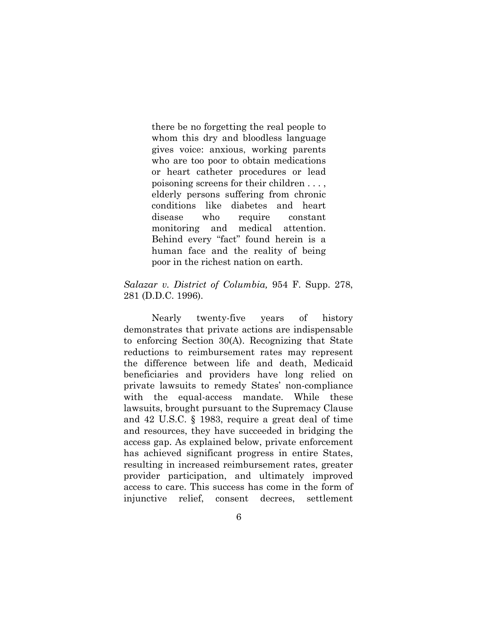there be no forgetting the real people to whom this dry and bloodless language gives voice: anxious, working parents who are too poor to obtain medications or heart catheter procedures or lead poisoning screens for their children . . . , elderly persons suffering from chronic conditions like diabetes and heart disease who require constant monitoring and medical attention. Behind every "fact" found herein is a human face and the reality of being poor in the richest nation on earth.

#### *Salazar v. District of Columbia,* 954 F. Supp. 278, 281 (D.D.C. 1996).

Nearly twenty-five years of history demonstrates that private actions are indispensable to enforcing Section 30(A). Recognizing that State reductions to reimbursement rates may represent the difference between life and death, Medicaid beneficiaries and providers have long relied on private lawsuits to remedy States' non-compliance with the equal-access mandate. While these lawsuits, brought pursuant to the Supremacy Clause and 42 U.S.C. § 1983, require a great deal of time and resources, they have succeeded in bridging the access gap. As explained below, private enforcement has achieved significant progress in entire States, resulting in increased reimbursement rates, greater provider participation, and ultimately improved access to care. This success has come in the form of injunctive relief, consent decrees, settlement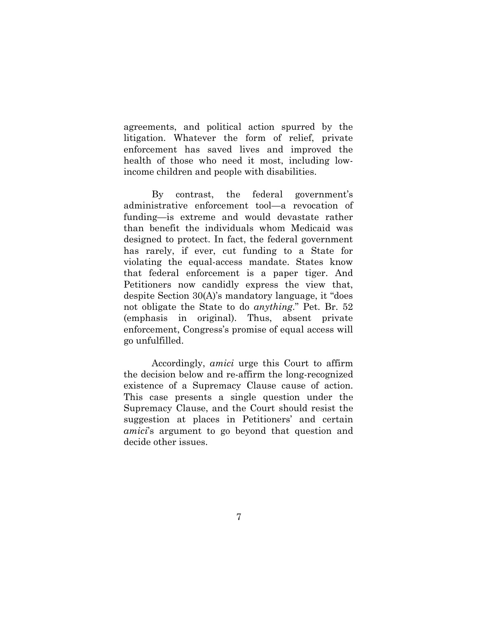agreements, and political action spurred by the litigation. Whatever the form of relief, private enforcement has saved lives and improved the health of those who need it most, including lowincome children and people with disabilities.

By contrast, the federal government's administrative enforcement tool—a revocation of funding—is extreme and would devastate rather than benefit the individuals whom Medicaid was designed to protect. In fact, the federal government has rarely, if ever, cut funding to a State for violating the equal-access mandate. States know that federal enforcement is a paper tiger. And Petitioners now candidly express the view that, despite Section 30(A)'s mandatory language, it "does not obligate the State to do *anything*." Pet. Br. 52 (emphasis in original). Thus, absent private enforcement, Congress's promise of equal access will go unfulfilled.

 Accordingly, *amici* urge this Court to affirm the decision below and re-affirm the long-recognized existence of a Supremacy Clause cause of action. This case presents a single question under the Supremacy Clause, and the Court should resist the suggestion at places in Petitioners' and certain *amici*'s argument to go beyond that question and decide other issues.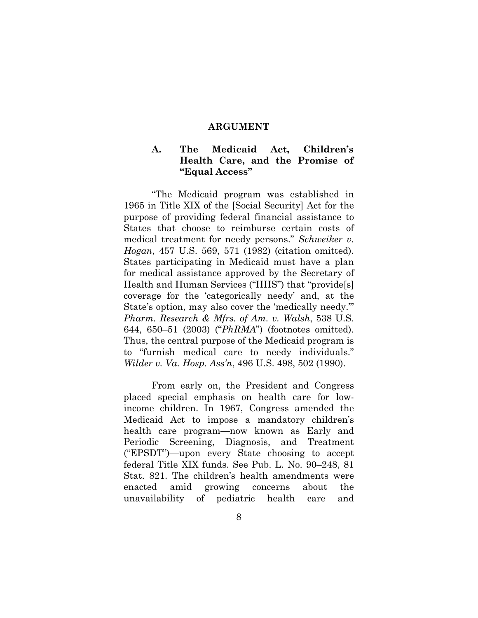#### **ARGUMENT**

### **A. The Medicaid Act, Children's Health Care, and the Promise of "Equal Access"**

"The Medicaid program was established in 1965 in Title XIX of the [Social Security] Act for the purpose of providing federal financial assistance to States that choose to reimburse certain costs of medical treatment for needy persons." *Schweiker v. Hogan*, 457 U.S. 569, 571 (1982) (citation omitted). States participating in Medicaid must have a plan for medical assistance approved by the Secretary of Health and Human Services ("HHS") that "provide[s] coverage for the 'categorically needy' and, at the State's option, may also cover the 'medically needy.'" *Pharm. Research & Mfrs. of Am. v. Walsh*, 538 U.S. 644, 650–51 (2003) ("*PhRMA*") (footnotes omitted). Thus, the central purpose of the Medicaid program is to "furnish medical care to needy individuals." *Wilder v. Va. Hosp. Ass'n*, 496 U.S. 498, 502 (1990).

From early on, the President and Congress placed special emphasis on health care for lowincome children. In 1967, Congress amended the Medicaid Act to impose a mandatory children's health care program—now known as Early and Periodic Screening, Diagnosis, and Treatment ("EPSDT")—upon every State choosing to accept federal Title XIX funds. See Pub. L. No. 90–248, 81 Stat. 821. The children's health amendments were enacted amid growing concerns about the unavailability of pediatric health care and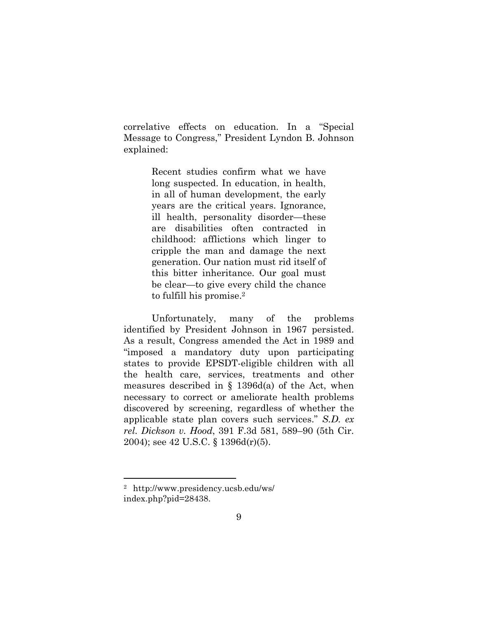correlative effects on education. In a "Special Message to Congress," President Lyndon B. Johnson explained:

> Recent studies confirm what we have long suspected. In education, in health, in all of human development, the early years are the critical years. Ignorance, ill health, personality disorder—these are disabilities often contracted in childhood: afflictions which linger to cripple the man and damage the next generation. Our nation must rid itself of this bitter inheritance. Our goal must be clear—to give every child the chance to fulfill his promise.<sup>2</sup>

Unfortunately, many of the problems identified by President Johnson in 1967 persisted. As a result, Congress amended the Act in 1989 and "imposed a mandatory duty upon participating states to provide EPSDT-eligible children with all the health care, services, treatments and other measures described in § 1396d(a) of the Act, when necessary to correct or ameliorate health problems discovered by screening, regardless of whether the applicable state plan covers such services." *S.D. ex rel. Dickson v. Hood*, 391 F.3d 581, 589–90 (5th Cir. 2004); see 42 U.S.C. § 1396d(r)(5).

<sup>2</sup> http://www.presidency.ucsb.edu/ws/ index.php?pid=28438.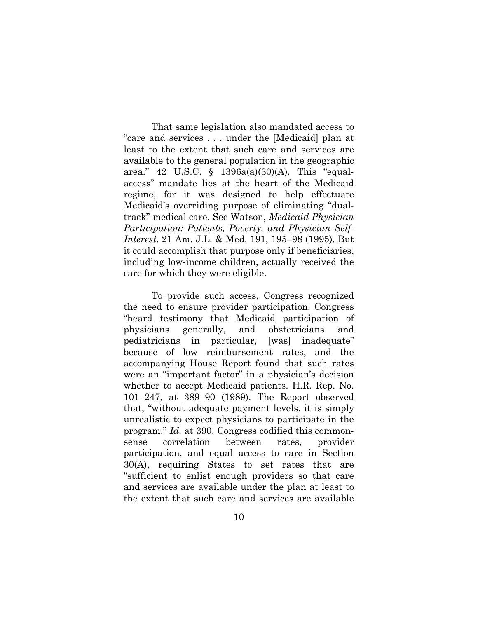That same legislation also mandated access to "care and services . . . under the [Medicaid] plan at least to the extent that such care and services are available to the general population in the geographic area." 42 U.S.C. § 1396a(a)(30)(A). This "equalaccess" mandate lies at the heart of the Medicaid regime, for it was designed to help effectuate Medicaid's overriding purpose of eliminating "dualtrack" medical care. See Watson, *Medicaid Physician Participation: Patients, Poverty, and Physician Self-Interest*, 21 Am. J.L. & Med. 191, 195–98 (1995). But it could accomplish that purpose only if beneficiaries, including low-income children, actually received the care for which they were eligible.

To provide such access, Congress recognized the need to ensure provider participation. Congress "heard testimony that Medicaid participation of physicians generally, and obstetricians and pediatricians in particular, [was] inadequate" because of low reimbursement rates, and the accompanying House Report found that such rates were an "important factor" in a physician's decision whether to accept Medicaid patients. H.R. Rep. No. 101–247, at 389–90 (1989). The Report observed that, "without adequate payment levels, it is simply unrealistic to expect physicians to participate in the program." *Id.* at 390. Congress codified this commonsense correlation between rates, provider participation, and equal access to care in Section 30(A), requiring States to set rates that are "sufficient to enlist enough providers so that care and services are available under the plan at least to the extent that such care and services are available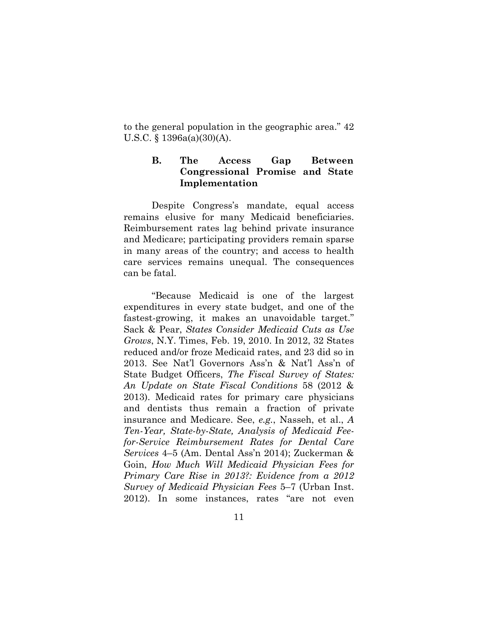to the general population in the geographic area." 42 U.S.C. § 1396a(a)(30)(A).

### **B. The Access Gap Between Congressional Promise and State Implementation**

Despite Congress's mandate, equal access remains elusive for many Medicaid beneficiaries. Reimbursement rates lag behind private insurance and Medicare; participating providers remain sparse in many areas of the country; and access to health care services remains unequal. The consequences can be fatal.

"Because Medicaid is one of the largest expenditures in every state budget, and one of the fastest-growing, it makes an unavoidable target." Sack & Pear, *States Consider Medicaid Cuts as Use Grows*, N.Y. Times, Feb. 19, 2010. In 2012, 32 States reduced and/or froze Medicaid rates, and 23 did so in 2013. See Nat'l Governors Ass'n & Nat'l Ass'n of State Budget Officers, *The Fiscal Survey of States: An Update on State Fiscal Conditions* 58 (2012 & 2013). Medicaid rates for primary care physicians and dentists thus remain a fraction of private insurance and Medicare. See, *e.g.*, Nasseh, et al., *A Ten-Year, State-by-State, Analysis of Medicaid Feefor-Service Reimbursement Rates for Dental Care Services* 4–5 (Am. Dental Ass'n 2014); Zuckerman & Goin, *How Much Will Medicaid Physician Fees for Primary Care Rise in 2013?: Evidence from a 2012 Survey of Medicaid Physician Fees* 5–7 (Urban Inst. 2012). In some instances, rates "are not even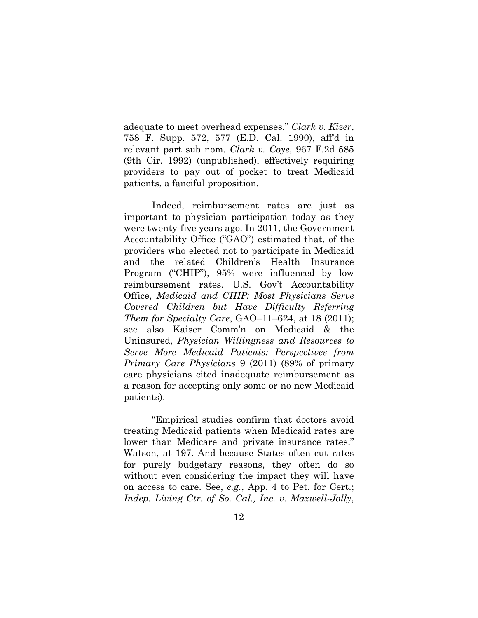adequate to meet overhead expenses," *Clark v. Kizer*, 758 F. Supp. 572, 577 (E.D. Cal. 1990), aff'd in relevant part sub nom*. Clark v. Coye*, 967 F.2d 585 (9th Cir. 1992) (unpublished), effectively requiring providers to pay out of pocket to treat Medicaid patients, a fanciful proposition.

Indeed, reimbursement rates are just as important to physician participation today as they were twenty-five years ago. In 2011, the Government Accountability Office ("GAO") estimated that, of the providers who elected not to participate in Medicaid and the related Children's Health Insurance Program ("CHIP"), 95% were influenced by low reimbursement rates. U.S. Gov't Accountability Office, *Medicaid and CHIP: Most Physicians Serve Covered Children but Have Difficulty Referring Them for Specialty Care*, GAO–11–624, at 18 (2011); see also Kaiser Comm'n on Medicaid & the Uninsured, *Physician Willingness and Resources to Serve More Medicaid Patients: Perspectives from Primary Care Physicians* 9 (2011) (89% of primary care physicians cited inadequate reimbursement as a reason for accepting only some or no new Medicaid patients).

"Empirical studies confirm that doctors avoid treating Medicaid patients when Medicaid rates are lower than Medicare and private insurance rates." Watson, at 197. And because States often cut rates for purely budgetary reasons, they often do so without even considering the impact they will have on access to care. See, *e.g.*, App. 4 to Pet. for Cert.; *Indep. Living Ctr. of So. Cal., Inc. v. Maxwell-Jolly*,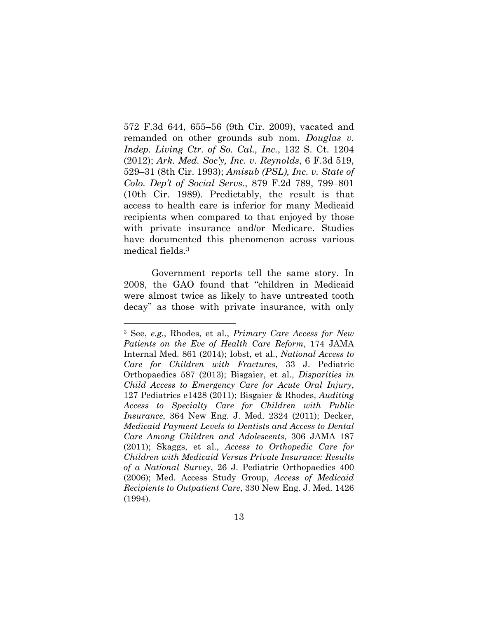572 F.3d 644, 655–56 (9th Cir. 2009), vacated and remanded on other grounds sub nom. *Douglas v. Indep. Living Ctr. of So. Cal., Inc.*, 132 S. Ct. 1204 (2012); *Ark. Med. Soc'y, Inc. v. Reynolds*, 6 F.3d 519, 529–31 (8th Cir. 1993); *Amisub (PSL), Inc. v. State of Colo. Dep't of Social Servs.*, 879 F.2d 789, 799–801 (10th Cir. 1989). Predictably, the result is that access to health care is inferior for many Medicaid recipients when compared to that enjoyed by those with private insurance and/or Medicare. Studies have documented this phenomenon across various medical fields.3

Government reports tell the same story. In 2008, the GAO found that "children in Medicaid were almost twice as likely to have untreated tooth decay" as those with private insurance, with only

<sup>3</sup> See, *e.g.*, Rhodes, et al., *Primary Care Access for New Patients on the Eve of Health Care Reform*, 174 JAMA Internal Med. 861 (2014); Iobst, et al., *National Access to Care for Children with Fractures*, 33 J. Pediatric Orthopaedics 587 (2013); Bisgaier, et al., *Disparities in Child Access to Emergency Care for Acute Oral Injury*, 127 Pediatrics e1428 (2011); Bisgaier & Rhodes, *Auditing Access to Specialty Care for Children with Public Insurance*, 364 New Eng. J. Med. 2324 (2011); Decker, *Medicaid Payment Levels to Dentists and Access to Dental Care Among Children and Adolescents*, 306 JAMA 187 (2011); Skaggs, et al., *Access to Orthopedic Care for Children with Medicaid Versus Private Insurance: Results of a National Survey*, 26 J. Pediatric Orthopaedics 400 (2006); Med. Access Study Group, *Access of Medicaid Recipients to Outpatient Care*, 330 New Eng. J. Med. 1426 (1994).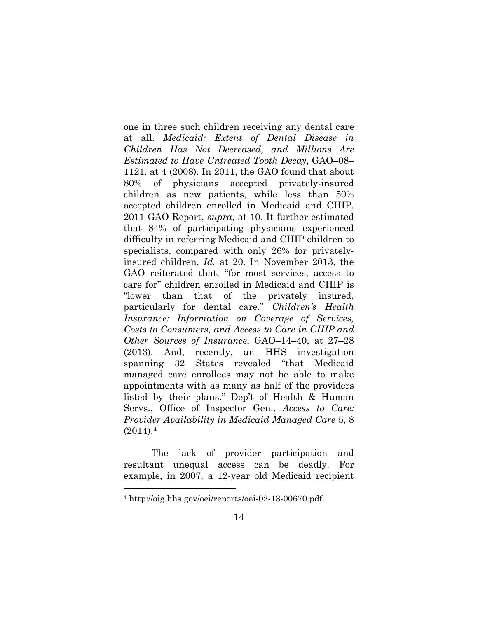one in three such children receiving any dental care at all. *Medicaid: Extent of Dental Disease in Children Has Not Decreased, and Millions Are Estimated to Have Untreated Tooth Decay*, GAO–08– 1121, at 4 (2008). In 2011, the GAO found that about 80% of physicians accepted privately-insured children as new patients, while less than 50% accepted children enrolled in Medicaid and CHIP. 2011 GAO Report, *supra*, at 10. It further estimated that 84% of participating physicians experienced difficulty in referring Medicaid and CHIP children to specialists, compared with only 26% for privatelyinsured children. *Id.* at 20. In November 2013, the GAO reiterated that, "for most services, access to care for" children enrolled in Medicaid and CHIP is "lower than that of the privately insured, particularly for dental care." *Children's Health Insurance: Information on Coverage of Services, Costs to Consumers, and Access to Care in CHIP and Other Sources of Insurance*, GAO–14–40, at 27–28 (2013). And, recently, an HHS investigation spanning 32 States revealed "that Medicaid managed care enrollees may not be able to make appointments with as many as half of the providers listed by their plans." Dep't of Health & Human Servs., Office of Inspector Gen., *Access to Care: Provider Availability in Medicaid Managed Care* 5, 8  $(2014).4$ 

The lack of provider participation and resultant unequal access can be deadly. For example, in 2007, a 12-year old Medicaid recipient

<sup>4</sup> http://oig.hhs.gov/oei/reports/oei-02-13-00670.pdf.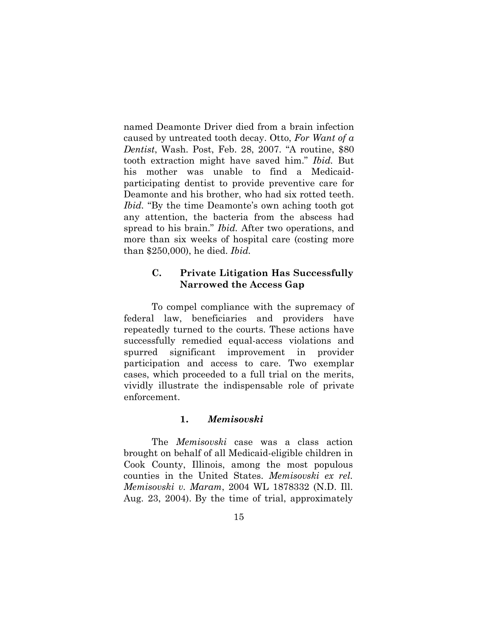named Deamonte Driver died from a brain infection caused by untreated tooth decay. Otto, *For Want of a Dentist*, Wash. Post, Feb. 28, 2007. "A routine, \$80 tooth extraction might have saved him." *Ibid.* But his mother was unable to find a Medicaidparticipating dentist to provide preventive care for Deamonte and his brother, who had six rotted teeth. *Ibid.* "By the time Deamonte's own aching tooth got any attention, the bacteria from the abscess had spread to his brain." *Ibid.* After two operations, and more than six weeks of hospital care (costing more than \$250,000), he died. *Ibid.*

### **C. Private Litigation Has Successfully Narrowed the Access Gap**

To compel compliance with the supremacy of federal law, beneficiaries and providers have repeatedly turned to the courts. These actions have successfully remedied equal-access violations and spurred significant improvement in provider participation and access to care. Two exemplar cases, which proceeded to a full trial on the merits, vividly illustrate the indispensable role of private enforcement.

#### **1.** *Memisovski*

The *Memisovski* case was a class action brought on behalf of all Medicaid-eligible children in Cook County, Illinois, among the most populous counties in the United States. *Memisovski ex rel. Memisovski v. Maram*, 2004 WL 1878332 (N.D. Ill. Aug. 23, 2004). By the time of trial, approximately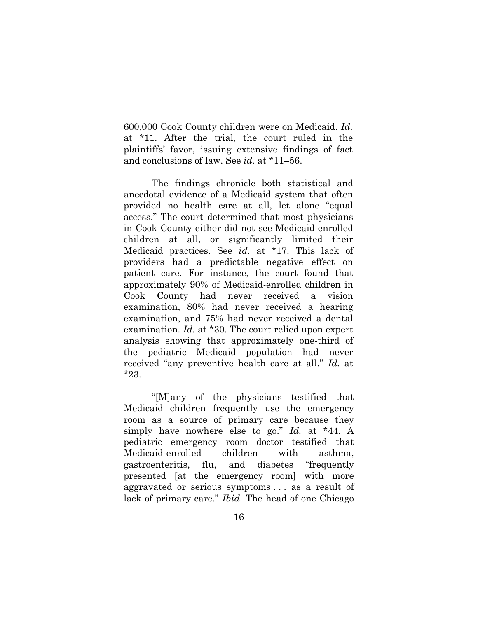600,000 Cook County children were on Medicaid. *Id.* at \*11. After the trial, the court ruled in the plaintiffs' favor, issuing extensive findings of fact and conclusions of law. See *id.* at \*11–56.

The findings chronicle both statistical and anecdotal evidence of a Medicaid system that often provided no health care at all, let alone "equal access." The court determined that most physicians in Cook County either did not see Medicaid-enrolled children at all, or significantly limited their Medicaid practices. See *id.* at \*17. This lack of providers had a predictable negative effect on patient care. For instance, the court found that approximately 90% of Medicaid-enrolled children in Cook County had never received a vision examination, 80% had never received a hearing examination, and 75% had never received a dental examination. *Id.* at \*30. The court relied upon expert analysis showing that approximately one-third of the pediatric Medicaid population had never received "any preventive health care at all." *Id.* at \*23.

"[M]any of the physicians testified that Medicaid children frequently use the emergency room as a source of primary care because they simply have nowhere else to go." *Id.* at \*44. A pediatric emergency room doctor testified that Medicaid-enrolled children with asthma, gastroenteritis, flu, and diabetes "frequently presented [at the emergency room] with more aggravated or serious symptoms . . . as a result of lack of primary care." *Ibid.* The head of one Chicago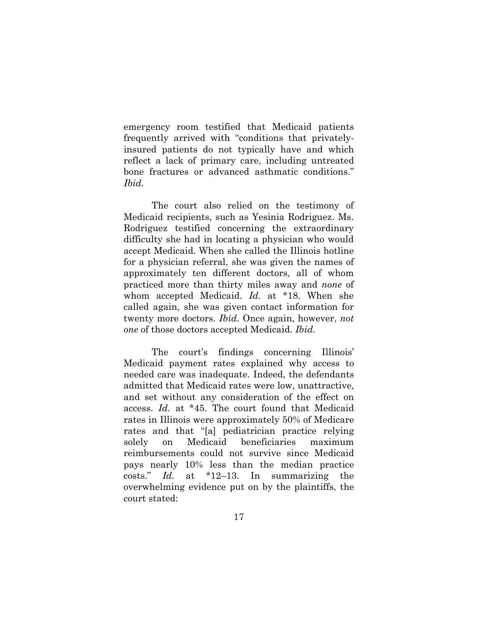emergency room testified that Medicaid patients frequently arrived with "conditions that privatelyinsured patients do not typically have and which reflect a lack of primary care, including untreated bone fractures or advanced asthmatic conditions." *Ibid.* 

The court also relied on the testimony of Medicaid recipients, such as Yesinia Rodriguez. Ms. Rodriguez testified concerning the extraordinary difficulty she had in locating a physician who would accept Medicaid. When she called the Illinois hotline for a physician referral, she was given the names of approximately ten different doctors, all of whom practiced more than thirty miles away and *none* of whom accepted Medicaid. *Id.* at \*18. When she called again, she was given contact information for twenty more doctors. *Ibid.* Once again, however, *not one* of those doctors accepted Medicaid. *Ibid.* 

The court's findings concerning Illinois' Medicaid payment rates explained why access to needed care was inadequate. Indeed, the defendants admitted that Medicaid rates were low, unattractive, and set without any consideration of the effect on access. *Id.* at \*45. The court found that Medicaid rates in Illinois were approximately 50% of Medicare rates and that "[a] pediatrician practice relying solely on Medicaid beneficiaries maximum reimbursements could not survive since Medicaid pays nearly 10% less than the median practice costs." *Id.* at \*12–13. In summarizing the overwhelming evidence put on by the plaintiffs, the court stated: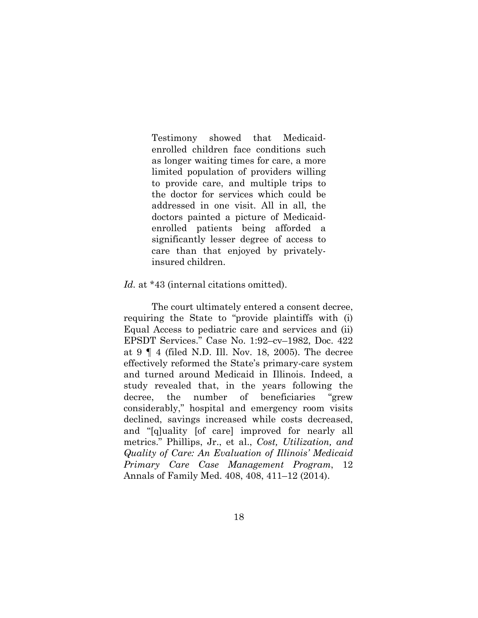Testimony showed that Medicaidenrolled children face conditions such as longer waiting times for care, a more limited population of providers willing to provide care, and multiple trips to the doctor for services which could be addressed in one visit. All in all, the doctors painted a picture of Medicaidenrolled patients being afforded a significantly lesser degree of access to care than that enjoyed by privatelyinsured children.

#### Id. at \*43 (internal citations omitted).

The court ultimately entered a consent decree, requiring the State to "provide plaintiffs with (i) Equal Access to pediatric care and services and (ii) EPSDT Services." Case No. 1:92–cv–1982, Doc. 422 at 9 ¶ 4 (filed N.D. Ill. Nov. 18, 2005). The decree effectively reformed the State's primary-care system and turned around Medicaid in Illinois. Indeed, a study revealed that, in the years following the decree, the number of beneficiaries "grew considerably," hospital and emergency room visits declined, savings increased while costs decreased, and "[q]uality [of care] improved for nearly all metrics." Phillips, Jr., et al., *Cost, Utilization, and Quality of Care: An Evaluation of Illinois' Medicaid Primary Care Case Management Program*, 12 Annals of Family Med. 408, 408, 411–12 (2014).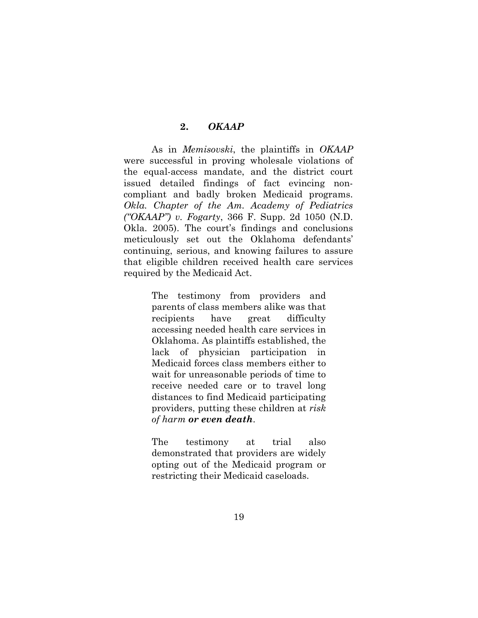#### **2.** *OKAAP*

As in *Memisovski*, the plaintiffs in *OKAAP* were successful in proving wholesale violations of the equal-access mandate, and the district court issued detailed findings of fact evincing noncompliant and badly broken Medicaid programs. *Okla. Chapter of the Am. Academy of Pediatrics ("OKAAP") v. Fogarty*, 366 F. Supp. 2d 1050 (N.D. Okla. 2005). The court's findings and conclusions meticulously set out the Oklahoma defendants' continuing, serious, and knowing failures to assure that eligible children received health care services required by the Medicaid Act.

> The testimony from providers and parents of class members alike was that recipients have great difficulty accessing needed health care services in Oklahoma. As plaintiffs established, the lack of physician participation in Medicaid forces class members either to wait for unreasonable periods of time to receive needed care or to travel long distances to find Medicaid participating providers, putting these children at *risk of harm or even death*.

> The testimony at trial also demonstrated that providers are widely opting out of the Medicaid program or restricting their Medicaid caseloads.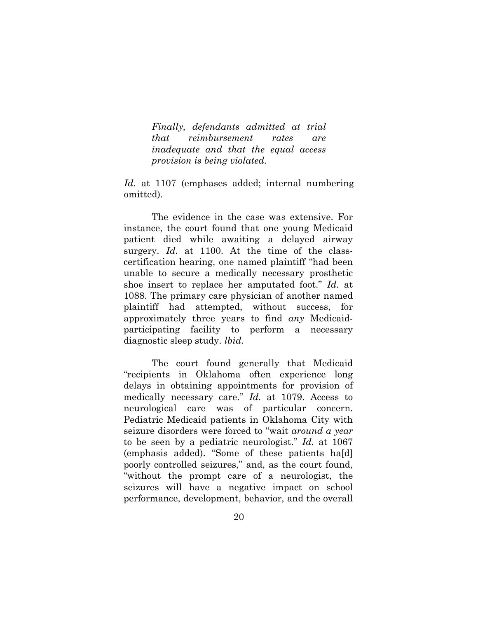*Finally, defendants admitted at trial that reimbursement rates are inadequate and that the equal access provision is being violated.*

*Id.* at 1107 (emphases added; internal numbering omitted).

The evidence in the case was extensive. For instance, the court found that one young Medicaid patient died while awaiting a delayed airway surgery. *Id.* at 1100. At the time of the classcertification hearing, one named plaintiff "had been unable to secure a medically necessary prosthetic shoe insert to replace her amputated foot." *Id.* at 1088. The primary care physician of another named plaintiff had attempted, without success, for approximately three years to find *any* Medicaidparticipating facility to perform a necessary diagnostic sleep study. *lbid.*

The court found generally that Medicaid "recipients in Oklahoma often experience long delays in obtaining appointments for provision of medically necessary care." *Id.* at 1079. Access to neurological care was of particular concern. Pediatric Medicaid patients in Oklahoma City with seizure disorders were forced to "wait *around a year*  to be seen by a pediatric neurologist." *Id.* at 1067 (emphasis added). "Some of these patients ha[d] poorly controlled seizures," and, as the court found, "without the prompt care of a neurologist, the seizures will have a negative impact on school performance, development, behavior, and the overall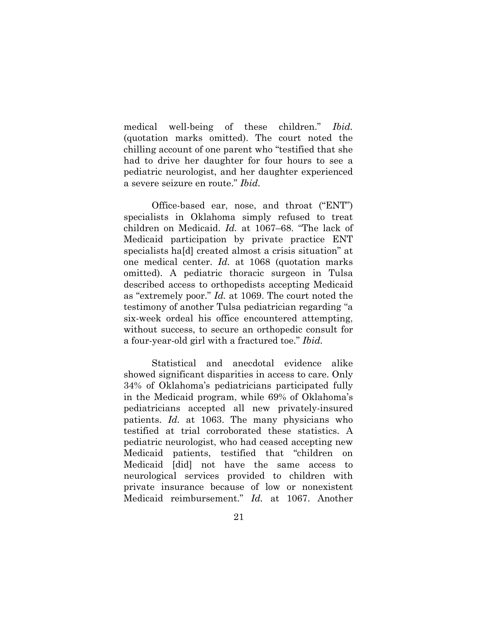medical well-being of these children." *Ibid.*  (quotation marks omitted). The court noted the chilling account of one parent who "testified that she had to drive her daughter for four hours to see a pediatric neurologist, and her daughter experienced a severe seizure en route." *Ibid.* 

Office-based ear, nose, and throat ("ENT") specialists in Oklahoma simply refused to treat children on Medicaid. *Id.* at 1067–68. "The lack of Medicaid participation by private practice ENT specialists ha[d] created almost a crisis situation" at one medical center. *Id.* at 1068 (quotation marks omitted). A pediatric thoracic surgeon in Tulsa described access to orthopedists accepting Medicaid as "extremely poor." *Id.* at 1069. The court noted the testimony of another Tulsa pediatrician regarding "a six-week ordeal his office encountered attempting, without success, to secure an orthopedic consult for a four-year-old girl with a fractured toe." *Ibid.*

Statistical and anecdotal evidence alike showed significant disparities in access to care. Only 34% of Oklahoma's pediatricians participated fully in the Medicaid program, while 69% of Oklahoma's pediatricians accepted all new privately-insured patients. *Id.* at 1063. The many physicians who testified at trial corroborated these statistics. A pediatric neurologist, who had ceased accepting new Medicaid patients, testified that "children on Medicaid [did] not have the same access to neurological services provided to children with private insurance because of low or nonexistent Medicaid reimbursement." *Id.* at 1067. Another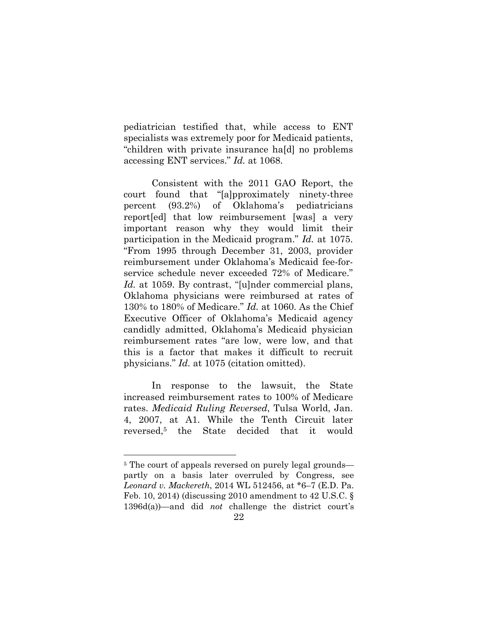pediatrician testified that, while access to ENT specialists was extremely poor for Medicaid patients, "children with private insurance ha[d] no problems accessing ENT services." *Id.* at 1068.

Consistent with the 2011 GAO Report, the court found that "[a]pproximately ninety-three percent (93.2%) of Oklahoma's pediatricians report[ed] that low reimbursement [was] a very important reason why they would limit their participation in the Medicaid program." *Id.* at 1075. "From 1995 through December 31, 2003, provider reimbursement under Oklahoma's Medicaid fee-forservice schedule never exceeded 72% of Medicare." *Id.* at 1059. By contrast, "[u]nder commercial plans, Oklahoma physicians were reimbursed at rates of 130% to 180% of Medicare." *Id.* at 1060. As the Chief Executive Officer of Oklahoma's Medicaid agency candidly admitted, Oklahoma's Medicaid physician reimbursement rates "are low, were low, and that this is a factor that makes it difficult to recruit physicians." *Id.* at 1075 (citation omitted).

In response to the lawsuit, the State increased reimbursement rates to 100% of Medicare rates. *Medicaid Ruling Reversed*, Tulsa World, Jan. 4, 2007, at A1. While the Tenth Circuit later reversed,5 the State decided that it would

<sup>&</sup>lt;sup>5</sup> The court of appeals reversed on purely legal grounds partly on a basis later overruled by Congress, see *Leonard v. Mackereth*, 2014 WL 512456, at \*6–7 (E.D. Pa. Feb. 10, 2014) (discussing 2010 amendment to 42 U.S.C. § 1396d(a))—and did *not* challenge the district court's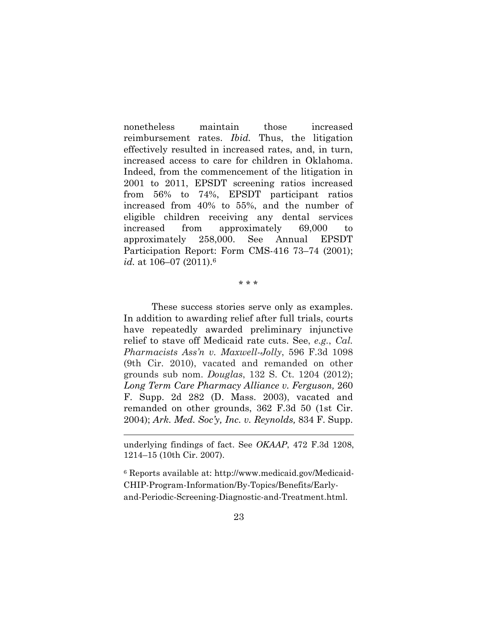nonetheless maintain those increased reimbursement rates. *Ibid.* Thus, the litigation effectively resulted in increased rates, and, in turn, increased access to care for children in Oklahoma. Indeed, from the commencement of the litigation in 2001 to 2011, EPSDT screening ratios increased from 56% to 74%, EPSDT participant ratios increased from 40% to 55%, and the number of eligible children receiving any dental services increased from approximately 69,000 to approximately 258,000. See Annual EPSDT Participation Report: Form CMS-416 73–74 (2001); *id.* at 106–07 (2011).6

\* \* \*

These success stories serve only as examples. In addition to awarding relief after full trials, courts have repeatedly awarded preliminary injunctive relief to stave off Medicaid rate cuts. See, *e.g.*, *Cal. Pharmacists Ass'n v. Maxwell-Jolly*, 596 F.3d 1098 (9th Cir. 2010), vacated and remanded on other grounds sub nom. *Douglas*, 132 S. Ct. 1204 (2012); *Long Term Care Pharmacy Alliance v. Ferguson,* 260 F. Supp. 2d 282 (D. Mass. 2003), vacated and remanded on other grounds, 362 F.3d 50 (1st Cir. 2004); *Ark. Med. Soc'y, Inc. v. Reynolds,* 834 F. Supp.

 $\overline{a}$ 

6 Reports available at: http://www.medicaid.gov/Medicaid-CHIP-Program-Information/By-Topics/Benefits/Earlyand-Periodic-Screening-Diagnostic-and-Treatment.html.

underlying findings of fact. See *OKAAP*, 472 F.3d 1208, 1214–15 (10th Cir. 2007).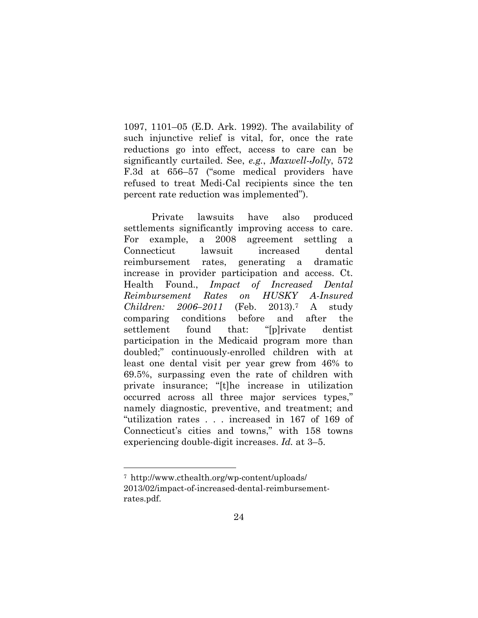1097, 1101–05 (E.D. Ark. 1992). The availability of such injunctive relief is vital, for, once the rate reductions go into effect, access to care can be significantly curtailed. See, *e.g.*, *Maxwell-Jolly*, 572 F.3d at 656–57 ("some medical providers have refused to treat Medi-Cal recipients since the ten percent rate reduction was implemented").

Private lawsuits have also produced settlements significantly improving access to care. For example, a 2008 agreement settling a Connecticut lawsuit increased dental reimbursement rates, generating a dramatic increase in provider participation and access. Ct. Health Found., *Impact of Increased Dental Reimbursement Rates on HUSKY A-Insured Children: 2006–2011* (Feb. 2013).7 A study comparing conditions before and after the settlement found that: "[p]rivate dentist participation in the Medicaid program more than doubled;" continuously-enrolled children with at least one dental visit per year grew from 46% to 69.5%, surpassing even the rate of children with private insurance; "[t]he increase in utilization occurred across all three major services types," namely diagnostic, preventive, and treatment; and "utilization rates . . . increased in 167 of 169 of Connecticut's cities and towns," with 158 towns experiencing double-digit increases. *Id.* at 3–5.

<sup>7</sup> http://www.cthealth.org/wp-content/uploads/ 2013/02/impact-of-increased-dental-reimbursementrates.pdf.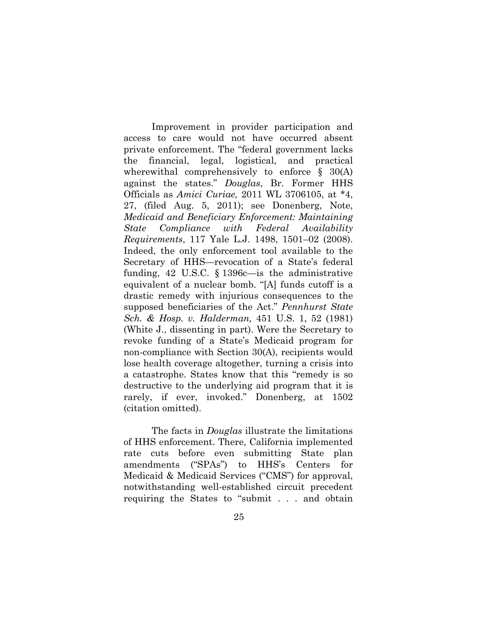Improvement in provider participation and access to care would not have occurred absent private enforcement. The "federal government lacks the financial, legal, logistical, and practical wherewithal comprehensively to enforce § 30(A) against the states." *Douglas*, Br. Former HHS Officials as *Amici Curiae,* 2011 WL 3706105, at \*4, 27, (filed Aug. 5, 2011); see Donenberg, Note, *Medicaid and Beneficiary Enforcement: Maintaining State Compliance with Federal Availability Requirements*, 117 Yale L.J. 1498, 1501–02 (2008). Indeed, the only enforcement tool available to the Secretary of HHS—revocation of a State's federal funding, 42 U.S.C. § 1396c—is the administrative equivalent of a nuclear bomb. "[A] funds cutoff is a drastic remedy with injurious consequences to the supposed beneficiaries of the Act." *Pennhurst State Sch. & Hosp. v. Halderman,* 451 U.S. 1, 52 (1981) (White J., dissenting in part). Were the Secretary to revoke funding of a State's Medicaid program for non-compliance with Section 30(A), recipients would lose health coverage altogether, turning a crisis into a catastrophe. States know that this "remedy is so destructive to the underlying aid program that it is rarely, if ever, invoked." Donenberg, at 1502 (citation omitted).

The facts in *Douglas* illustrate the limitations of HHS enforcement. There, California implemented rate cuts before even submitting State plan amendments ("SPAs") to HHS's Centers for Medicaid & Medicaid Services ("CMS") for approval, notwithstanding well-established circuit precedent requiring the States to "submit . . . and obtain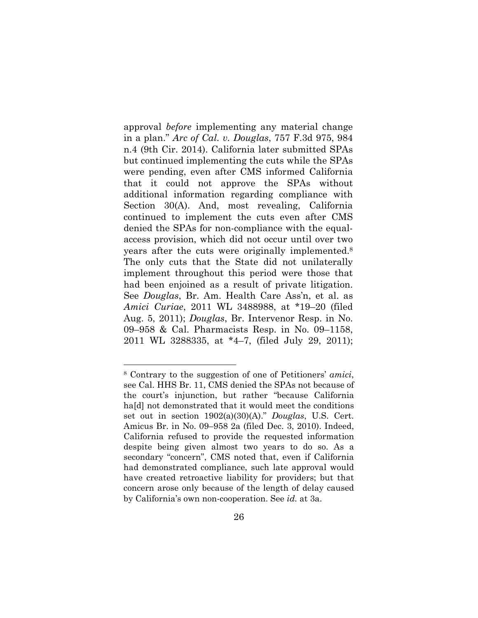approval *before* implementing any material change in a plan." *Arc of Cal. v. Douglas*, 757 F.3d 975, 984 n.4 (9th Cir. 2014). California later submitted SPAs but continued implementing the cuts while the SPAs were pending, even after CMS informed California that it could not approve the SPAs without additional information regarding compliance with Section 30(A). And, most revealing, California continued to implement the cuts even after CMS denied the SPAs for non-compliance with the equalaccess provision, which did not occur until over two years after the cuts were originally implemented.8 The only cuts that the State did not unilaterally implement throughout this period were those that had been enjoined as a result of private litigation. See *Douglas*, Br. Am. Health Care Ass'n, et al. as *Amici Curiae*, 2011 WL 3488988, at \*19–20 (filed Aug. 5, 2011); *Douglas*, Br. Intervenor Resp. in No. 09–958 & Cal. Pharmacists Resp. in No. 09–1158, 2011 WL 3288335, at \*4–7, (filed July 29, 2011);

<sup>8</sup> Contrary to the suggestion of one of Petitioners' *amici*, see Cal. HHS Br. 11, CMS denied the SPAs not because of the court's injunction, but rather "because California ha[d] not demonstrated that it would meet the conditions set out in section 1902(a)(30)(A)." *Douglas*, U.S. Cert. Amicus Br. in No. 09–958 2a (filed Dec. 3, 2010). Indeed, California refused to provide the requested information despite being given almost two years to do so. As a secondary "concern", CMS noted that, even if California had demonstrated compliance, such late approval would have created retroactive liability for providers; but that concern arose only because of the length of delay caused by California's own non-cooperation. See *id.* at 3a.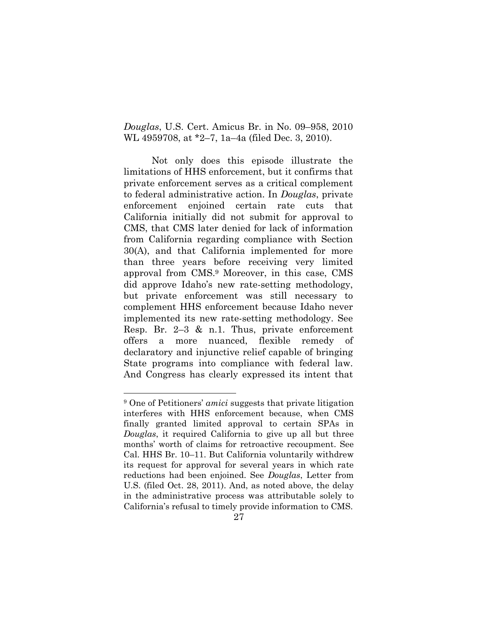*Douglas*, U.S. Cert. Amicus Br. in No. 09–958, 2010 WL 4959708, at \*2–7, 1a–4a (filed Dec. 3, 2010).

Not only does this episode illustrate the limitations of HHS enforcement, but it confirms that private enforcement serves as a critical complement to federal administrative action. In *Douglas*, private enforcement enjoined certain rate cuts that California initially did not submit for approval to CMS, that CMS later denied for lack of information from California regarding compliance with Section 30(A), and that California implemented for more than three years before receiving very limited approval from CMS.9 Moreover, in this case, CMS did approve Idaho's new rate-setting methodology, but private enforcement was still necessary to complement HHS enforcement because Idaho never implemented its new rate-setting methodology. See Resp. Br. 2–3 & n.1. Thus, private enforcement offers a more nuanced, flexible remedy of declaratory and injunctive relief capable of bringing State programs into compliance with federal law. And Congress has clearly expressed its intent that

<sup>9</sup> One of Petitioners' *amici* suggests that private litigation interferes with HHS enforcement because, when CMS finally granted limited approval to certain SPAs in *Douglas*, it required California to give up all but three months' worth of claims for retroactive recoupment. See Cal. HHS Br. 10–11. But California voluntarily withdrew its request for approval for several years in which rate reductions had been enjoined. See *Douglas*, Letter from U.S. (filed Oct. 28, 2011). And, as noted above, the delay in the administrative process was attributable solely to California's refusal to timely provide information to CMS.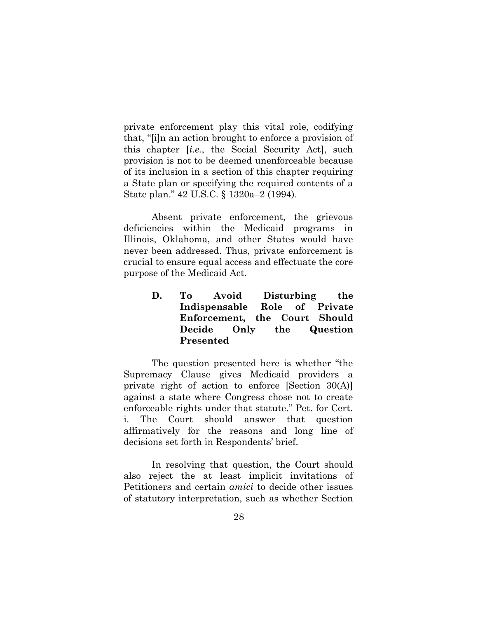private enforcement play this vital role, codifying that, "[i]n an action brought to enforce a provision of this chapter [*i.e.*, the Social Security Act], such provision is not to be deemed unenforceable because of its inclusion in a section of this chapter requiring a State plan or specifying the required contents of a State plan." 42 U.S.C. § 1320a–2 (1994).

Absent private enforcement, the grievous deficiencies within the Medicaid programs in Illinois, Oklahoma, and other States would have never been addressed. Thus, private enforcement is crucial to ensure equal access and effectuate the core purpose of the Medicaid Act.

> **D. To Avoid Disturbing the Indispensable Role of Private Enforcement, the Court Should Decide Only the Question Presented**

The question presented here is whether "the Supremacy Clause gives Medicaid providers a private right of action to enforce [Section 30(A)] against a state where Congress chose not to create enforceable rights under that statute." Pet. for Cert. i. The Court should answer that question affirmatively for the reasons and long line of decisions set forth in Respondents' brief.

In resolving that question, the Court should also reject the at least implicit invitations of Petitioners and certain *amici* to decide other issues of statutory interpretation, such as whether Section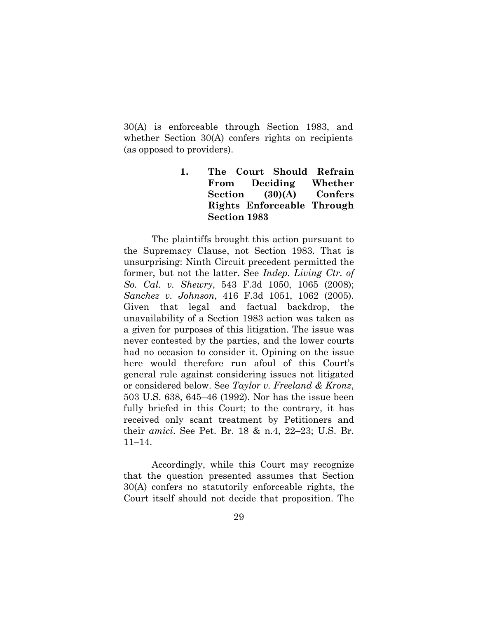30(A) is enforceable through Section 1983, and whether Section 30(A) confers rights on recipients (as opposed to providers).

> **1. The Court Should Refrain From Deciding Whether Section (30)(A) Confers Rights Enforceable Through Section 1983**

The plaintiffs brought this action pursuant to the Supremacy Clause, not Section 1983. That is unsurprising: Ninth Circuit precedent permitted the former, but not the latter. See *Indep. Living Ctr. of So. Cal. v. Shewry*, 543 F.3d 1050, 1065 (2008); *Sanchez v. Johnson*, 416 F.3d 1051, 1062 (2005). Given that legal and factual backdrop, the unavailability of a Section 1983 action was taken as a given for purposes of this litigation. The issue was never contested by the parties, and the lower courts had no occasion to consider it. Opining on the issue here would therefore run afoul of this Court's general rule against considering issues not litigated or considered below. See *Taylor v. Freeland & Kronz*, 503 U.S. 638, 645–46 (1992). Nor has the issue been fully briefed in this Court; to the contrary, it has received only scant treatment by Petitioners and their *amici*. See Pet. Br. 18 & n.4, 22–23; U.S. Br. 11–14.

Accordingly, while this Court may recognize that the question presented assumes that Section 30(A) confers no statutorily enforceable rights, the Court itself should not decide that proposition. The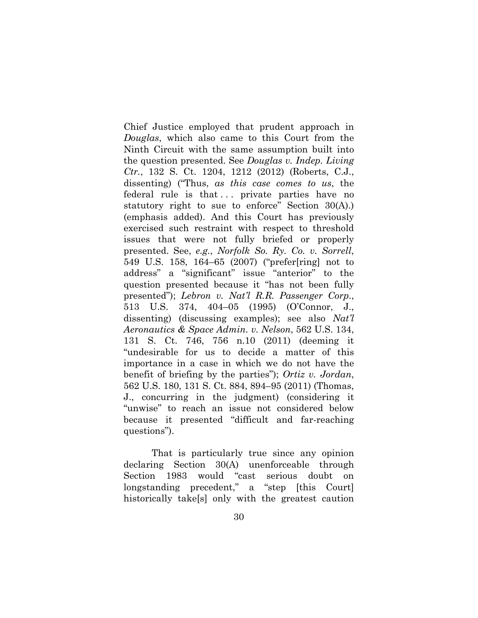Chief Justice employed that prudent approach in *Douglas*, which also came to this Court from the Ninth Circuit with the same assumption built into the question presented. See *Douglas v. Indep. Living Ctr.*, 132 S. Ct. 1204, 1212 (2012) (Roberts, C.J., dissenting) ("Thus, *as this case comes to us*, the federal rule is that ... private parties have no statutory right to sue to enforce" Section 30(A).) (emphasis added). And this Court has previously exercised such restraint with respect to threshold issues that were not fully briefed or properly presented. See, *e.g.*, *Norfolk So. Ry. Co. v. Sorrell*, 549 U.S. 158, 164–65 (2007) ("prefer[ring] not to address" a "significant" issue "anterior" to the question presented because it "has not been fully presented"); *Lebron v. Nat'l R.R. Passenger Corp*., 513 U.S. 374, 404–05 (1995) (O'Connor, J., dissenting) (discussing examples); see also *Nat'l Aeronautics & Space Admin. v. Nelson*, 562 U.S. 134, 131 S. Ct. 746, 756 n.10 (2011) (deeming it "undesirable for us to decide a matter of this importance in a case in which we do not have the benefit of briefing by the parties"); *Ortiz v. Jordan*, 562 U.S. 180, 131 S. Ct. 884, 894–95 (2011) (Thomas, J., concurring in the judgment) (considering it "unwise" to reach an issue not considered below because it presented "difficult and far-reaching questions").

That is particularly true since any opinion declaring Section 30(A) unenforceable through Section 1983 would "cast serious doubt on longstanding precedent," a "step [this Court] historically take[s] only with the greatest caution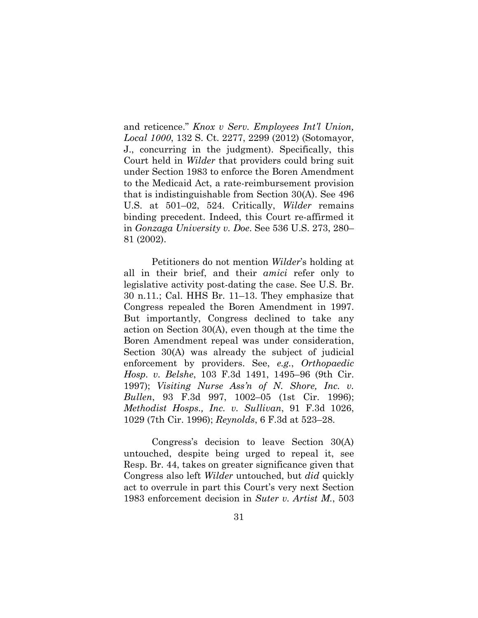and reticence." *Knox v Serv. Employees Int'l Union, Local 1000*, 132 S. Ct. 2277, 2299 (2012) (Sotomayor, J., concurring in the judgment). Specifically, this Court held in *Wilder* that providers could bring suit under Section 1983 to enforce the Boren Amendment to the Medicaid Act, a rate-reimbursement provision that is indistinguishable from Section 30(A). See 496 U.S. at 501–02, 524. Critically, *Wilder* remains binding precedent. Indeed, this Court re-affirmed it in *Gonzaga University v. Doe*. See 536 U.S. 273, 280– 81 (2002).

Petitioners do not mention *Wilder*'s holding at all in their brief, and their *amici* refer only to legislative activity post-dating the case. See U.S. Br. 30 n.11*.*; Cal. HHS Br. 11–13. They emphasize that Congress repealed the Boren Amendment in 1997. But importantly, Congress declined to take any action on Section 30(A), even though at the time the Boren Amendment repeal was under consideration, Section 30(A) was already the subject of judicial enforcement by providers. See, *e.g.*, *Orthopaedic Hosp. v. Belshe*, 103 F.3d 1491, 1495–96 (9th Cir. 1997); *Visiting Nurse Ass'n of N. Shore, Inc. v. Bullen*, 93 F.3d 997, 1002–05 (1st Cir. 1996); *Methodist Hosps., Inc. v. Sullivan*, 91 F.3d 1026, 1029 (7th Cir. 1996); *Reynolds*, 6 F.3d at 523–28.

Congress's decision to leave Section 30(A) untouched, despite being urged to repeal it, see Resp. Br. 44, takes on greater significance given that Congress also left *Wilder* untouched, but *did* quickly act to overrule in part this Court's very next Section 1983 enforcement decision in *Suter v. Artist M.*, 503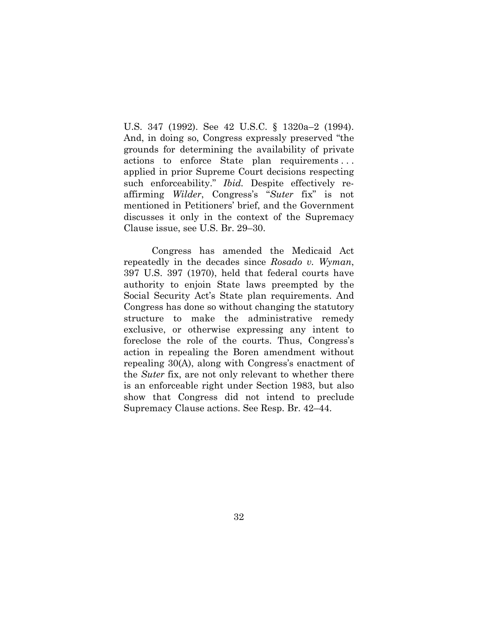U.S. 347 (1992). See 42 U.S.C. § 1320a–2 (1994). And, in doing so, Congress expressly preserved "the grounds for determining the availability of private actions to enforce State plan requirements . . . applied in prior Supreme Court decisions respecting such enforceability." *Ibid.* Despite effectively reaffirming *Wilder*, Congress's "*Suter* fix" is not mentioned in Petitioners' brief, and the Government discusses it only in the context of the Supremacy Clause issue, see U.S. Br. 29–30.

Congress has amended the Medicaid Act repeatedly in the decades since *Rosado v. Wyman*, 397 U.S. 397 (1970), held that federal courts have authority to enjoin State laws preempted by the Social Security Act's State plan requirements. And Congress has done so without changing the statutory structure to make the administrative remedy exclusive, or otherwise expressing any intent to foreclose the role of the courts. Thus, Congress's action in repealing the Boren amendment without repealing 30(A), along with Congress's enactment of the *Suter* fix, are not only relevant to whether there is an enforceable right under Section 1983, but also show that Congress did not intend to preclude Supremacy Clause actions. See Resp. Br. 42–44.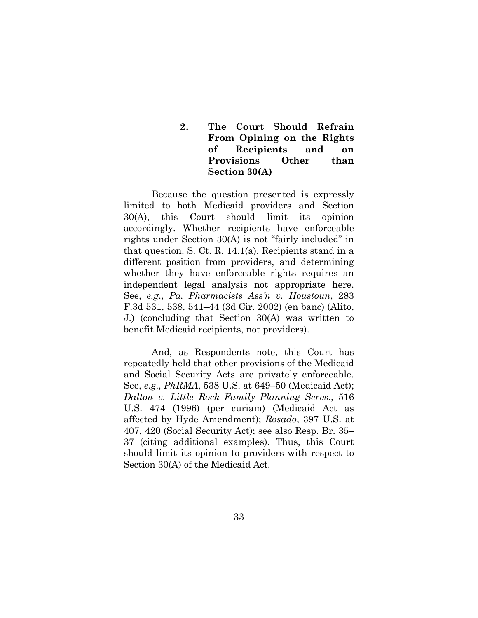**2. The Court Should Refrain From Opining on the Rights of Recipients and on Provisions Other than Section 30(A)** 

Because the question presented is expressly limited to both Medicaid providers and Section 30(A), this Court should limit its opinion accordingly. Whether recipients have enforceable rights under Section 30(A) is not "fairly included" in that question. S. Ct. R. 14.1(a). Recipients stand in a different position from providers, and determining whether they have enforceable rights requires an independent legal analysis not appropriate here. See, *e.g*., *Pa. Pharmacists Ass'n v. Houstoun*, 283 F.3d 531, 538, 541–44 (3d Cir. 2002) (en banc) (Alito, J.) (concluding that Section 30(A) was written to benefit Medicaid recipients, not providers).

And, as Respondents note, this Court has repeatedly held that other provisions of the Medicaid and Social Security Acts are privately enforceable. See, *e.g*., *PhRMA*, 538 U.S. at 649–50 (Medicaid Act); *Dalton v. Little Rock Family Planning Servs*., 516 U.S. 474 (1996) (per curiam) (Medicaid Act as affected by Hyde Amendment); *Rosado*, 397 U.S. at 407, 420 (Social Security Act); see also Resp. Br. 35– 37 (citing additional examples). Thus, this Court should limit its opinion to providers with respect to Section 30(A) of the Medicaid Act.